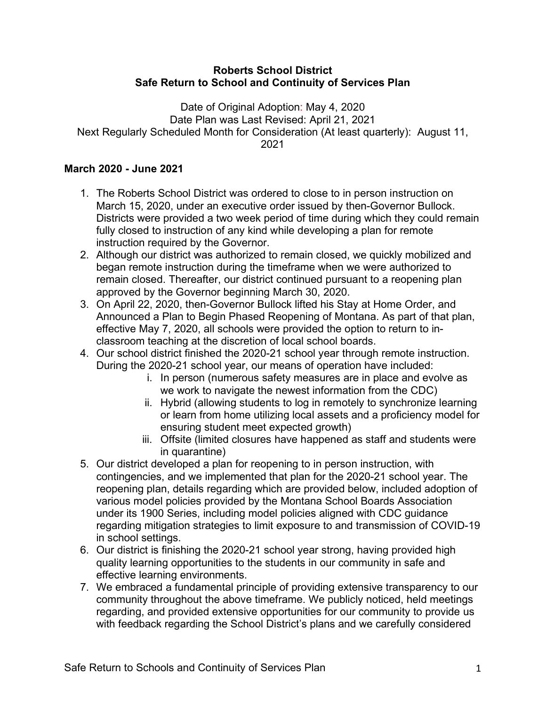### **Roberts School District Safe Return to School and Continuity of Services Plan**

Date of Original Adoption: May 4, 2020 Date Plan was Last Revised: April 21, 2021 Next Regularly Scheduled Month for Consideration (At least quarterly): August 11, 2021

# **March 2020 - June 2021**

- 1. The Roberts School District was ordered to close to in person instruction on March 15, 2020, under an executive order issued by then-Governor Bullock. Districts were provided a two week period of time during which they could remain fully closed to instruction of any kind while developing a plan for remote instruction required by the Governor.
- 2. Although our district was authorized to remain closed, we quickly mobilized and began remote instruction during the timeframe when we were authorized to remain closed. Thereafter, our district continued pursuant to a reopening plan approved by the Governor beginning March 30, 2020.
- 3. On April 22, 2020, then-Governor Bullock lifted his Stay at Home Order, and Announced a Plan to Begin Phased Reopening of Montana. As part of that plan, effective May 7, 2020, all schools were provided the option to return to inclassroom teaching at the discretion of local school boards.
- 4. Our school district finished the 2020-21 school year through remote instruction. During the 2020-21 school year, our means of operation have included:
	- i. In person (numerous safety measures are in place and evolve as we work to navigate the newest information from the CDC)
	- ii. Hybrid (allowing students to log in remotely to synchronize learning or learn from home utilizing local assets and a proficiency model for ensuring student meet expected growth)
	- iii. Offsite (limited closures have happened as staff and students were in quarantine)
- 5. Our district developed a plan for reopening to in person instruction, with contingencies, and we implemented that plan for the 2020-21 school year. The reopening plan, details regarding which are provided below, included adoption of various model policies provided by the Montana School Boards Association under its 1900 Series, including model policies aligned with CDC guidance regarding mitigation strategies to limit exposure to and transmission of COVID-19 in school settings.
- 6. Our district is finishing the 2020-21 school year strong, having provided high quality learning opportunities to the students in our community in safe and effective learning environments.
- 7. We embraced a fundamental principle of providing extensive transparency to our community throughout the above timeframe. We publicly noticed, held meetings regarding, and provided extensive opportunities for our community to provide us with feedback regarding the School District's plans and we carefully considered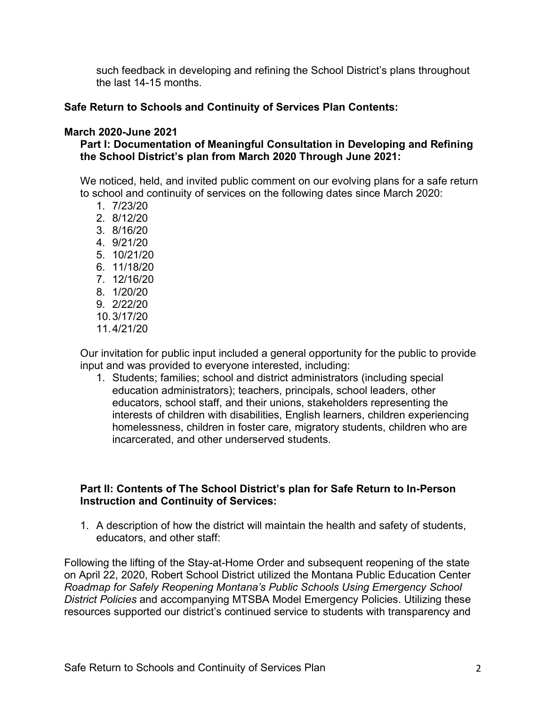such feedback in developing and refining the School District's plans throughout the last 14-15 months.

## **Safe Return to Schools and Continuity of Services Plan Contents:**

#### **March 2020-June 2021**

# **Part I: Documentation of Meaningful Consultation in Developing and Refining the School District's plan from March 2020 Through June 2021:**

We noticed, held, and invited public comment on our evolving plans for a safe return to school and continuity of services on the following dates since March 2020:

- 1. 7/23/20
- 2. 8/12/20
- 3. 8/16/20
- 4. 9/21/20
- 5. 10/21/20
- 6. 11/18/20
- 7. 12/16/20
- 8. 1/20/20
- 9. 2/22/20
- 10.3/17/20
- 11.4/21/20

Our invitation for public input included a general opportunity for the public to provide input and was provided to everyone interested, including:

1. Students; families; school and district administrators (including special education administrators); teachers, principals, school leaders, other educators, school staff, and their unions, stakeholders representing the interests of children with disabilities, English learners, children experiencing homelessness, children in foster care, migratory students, children who are incarcerated, and other underserved students.

### **Part II: Contents of The School District's plan for Safe Return to In-Person Instruction and Continuity of Services:**

1. A description of how the district will maintain the health and safety of students, educators, and other staff:

Following the lifting of the Stay-at-Home Order and subsequent reopening of the state on April 22, 2020, Robert School District utilized the Montana Public Education Center *Roadmap for Safely Reopening Montana's Public Schools Using Emergency School District Policies* and accompanying MTSBA Model Emergency Policies. Utilizing these resources supported our district's continued service to students with transparency and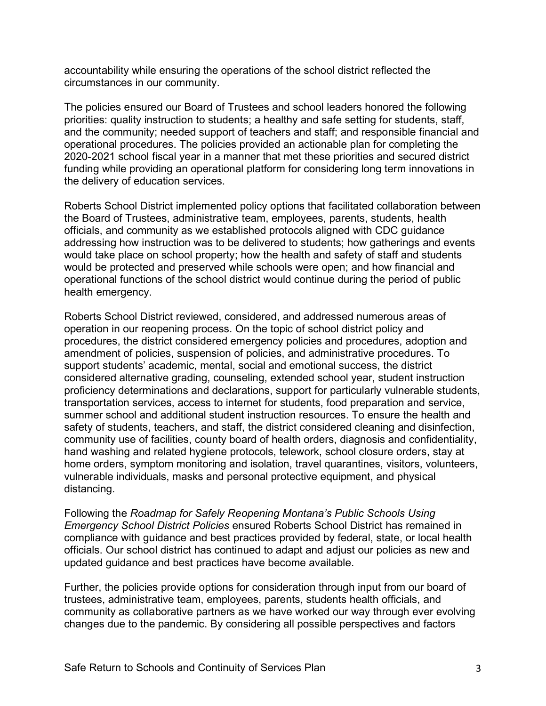accountability while ensuring the operations of the school district reflected the circumstances in our community.

The policies ensured our Board of Trustees and school leaders honored the following priorities: quality instruction to students; a healthy and safe setting for students, staff, and the community; needed support of teachers and staff; and responsible financial and operational procedures. The policies provided an actionable plan for completing the 2020-2021 school fiscal year in a manner that met these priorities and secured district funding while providing an operational platform for considering long term innovations in the delivery of education services.

Roberts School District implemented policy options that facilitated collaboration between the Board of Trustees, administrative team, employees, parents, students, health officials, and community as we established protocols aligned with CDC guidance addressing how instruction was to be delivered to students; how gatherings and events would take place on school property; how the health and safety of staff and students would be protected and preserved while schools were open; and how financial and operational functions of the school district would continue during the period of public health emergency.

Roberts School District reviewed, considered, and addressed numerous areas of operation in our reopening process. On the topic of school district policy and procedures, the district considered emergency policies and procedures, adoption and amendment of policies, suspension of policies, and administrative procedures. To support students' academic, mental, social and emotional success, the district considered alternative grading, counseling, extended school year, student instruction proficiency determinations and declarations, support for particularly vulnerable students, transportation services, access to internet for students, food preparation and service, summer school and additional student instruction resources. To ensure the health and safety of students, teachers, and staff, the district considered cleaning and disinfection, community use of facilities, county board of health orders, diagnosis and confidentiality, hand washing and related hygiene protocols, telework, school closure orders, stay at home orders, symptom monitoring and isolation, travel quarantines, visitors, volunteers, vulnerable individuals, masks and personal protective equipment, and physical distancing.

Following the *Roadmap for Safely Reopening Montana's Public Schools Using Emergency School District Policies* ensured Roberts School District has remained in compliance with guidance and best practices provided by federal, state, or local health officials. Our school district has continued to adapt and adjust our policies as new and updated guidance and best practices have become available.

Further, the policies provide options for consideration through input from our board of trustees, administrative team, employees, parents, students health officials, and community as collaborative partners as we have worked our way through ever evolving changes due to the pandemic. By considering all possible perspectives and factors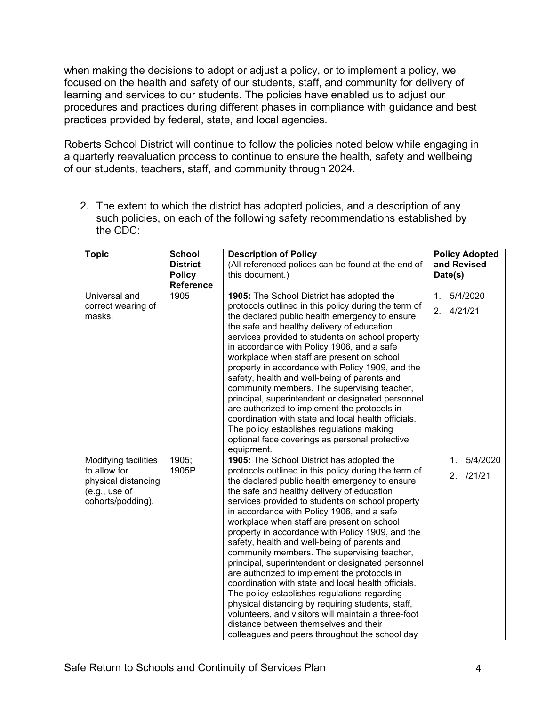when making the decisions to adopt or adjust a policy, or to implement a policy, we focused on the health and safety of our students, staff, and community for delivery of learning and services to our students. The policies have enabled us to adjust our procedures and practices during different phases in compliance with guidance and best practices provided by federal, state, and local agencies.

Roberts School District will continue to follow the policies noted below while engaging in a quarterly reevaluation process to continue to ensure the health, safety and wellbeing of our students, teachers, staff, and community through 2024.

2. The extent to which the district has adopted policies, and a description of any such policies, on each of the following safety recommendations established by the CDC:

| <b>Topic</b>                                                                                      | <b>School</b><br><b>District</b><br><b>Policy</b><br>Reference | <b>Description of Policy</b><br>(All referenced polices can be found at the end of<br>this document.)                                                                                                                                                                                                                                                                                                                                                                                                                                                                                                                                                                                                                                                                                                                                                                                                                   | <b>Policy Adopted</b><br>and Revised<br>Date(s)         |
|---------------------------------------------------------------------------------------------------|----------------------------------------------------------------|-------------------------------------------------------------------------------------------------------------------------------------------------------------------------------------------------------------------------------------------------------------------------------------------------------------------------------------------------------------------------------------------------------------------------------------------------------------------------------------------------------------------------------------------------------------------------------------------------------------------------------------------------------------------------------------------------------------------------------------------------------------------------------------------------------------------------------------------------------------------------------------------------------------------------|---------------------------------------------------------|
| Universal and<br>correct wearing of<br>masks.                                                     | 1905                                                           | 1905: The School District has adopted the<br>protocols outlined in this policy during the term of<br>the declared public health emergency to ensure<br>the safe and healthy delivery of education<br>services provided to students on school property<br>in accordance with Policy 1906, and a safe<br>workplace when staff are present on school<br>property in accordance with Policy 1909, and the<br>safety, health and well-being of parents and<br>community members. The supervising teacher,<br>principal, superintendent or designated personnel<br>are authorized to implement the protocols in<br>coordination with state and local health officials.<br>The policy establishes regulations making<br>optional face coverings as personal protective<br>equipment.                                                                                                                                           | 5/4/2020<br>1 <sub>1</sub><br>4/21/21<br>2 <sub>1</sub> |
| Modifying facilities<br>to allow for<br>physical distancing<br>(e.g., use of<br>cohorts/podding). | 1905;<br>1905P                                                 | 1905: The School District has adopted the<br>protocols outlined in this policy during the term of<br>the declared public health emergency to ensure<br>the safe and healthy delivery of education<br>services provided to students on school property<br>in accordance with Policy 1906, and a safe<br>workplace when staff are present on school<br>property in accordance with Policy 1909, and the<br>safety, health and well-being of parents and<br>community members. The supervising teacher,<br>principal, superintendent or designated personnel<br>are authorized to implement the protocols in<br>coordination with state and local health officials.<br>The policy establishes regulations regarding<br>physical distancing by requiring students, staff,<br>volunteers, and visitors will maintain a three-foot<br>distance between themselves and their<br>colleagues and peers throughout the school day | 5/4/2020<br>$\mathbf{1}$ .<br>2. /21/21                 |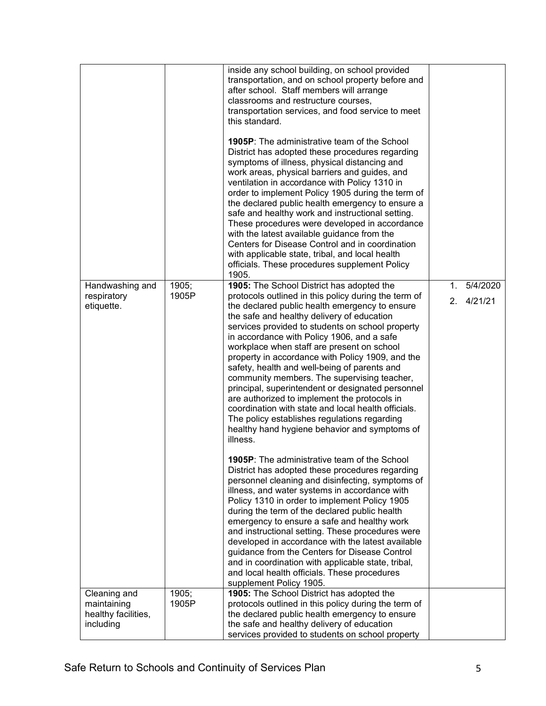|                                                                 |                | inside any school building, on school provided<br>transportation, and on school property before and<br>after school. Staff members will arrange<br>classrooms and restructure courses,<br>transportation services, and food service to meet<br>this standard.<br><b>1905P:</b> The administrative team of the School<br>District has adopted these procedures regarding<br>symptoms of illness, physical distancing and<br>work areas, physical barriers and guides, and<br>ventilation in accordance with Policy 1310 in<br>order to implement Policy 1905 during the term of<br>the declared public health emergency to ensure a<br>safe and healthy work and instructional setting.<br>These procedures were developed in accordance<br>with the latest available guidance from the<br>Centers for Disease Control and in coordination<br>with applicable state, tribal, and local health<br>officials. These procedures supplement Policy<br>1905. |                             |
|-----------------------------------------------------------------|----------------|--------------------------------------------------------------------------------------------------------------------------------------------------------------------------------------------------------------------------------------------------------------------------------------------------------------------------------------------------------------------------------------------------------------------------------------------------------------------------------------------------------------------------------------------------------------------------------------------------------------------------------------------------------------------------------------------------------------------------------------------------------------------------------------------------------------------------------------------------------------------------------------------------------------------------------------------------------|-----------------------------|
| Handwashing and<br>respiratory<br>etiquette.                    | 1905;<br>1905P | 1905: The School District has adopted the<br>protocols outlined in this policy during the term of<br>the declared public health emergency to ensure<br>the safe and healthy delivery of education<br>services provided to students on school property<br>in accordance with Policy 1906, and a safe<br>workplace when staff are present on school<br>property in accordance with Policy 1909, and the<br>safety, health and well-being of parents and<br>community members. The supervising teacher,<br>principal, superintendent or designated personnel<br>are authorized to implement the protocols in<br>coordination with state and local health officials.<br>The policy establishes regulations regarding<br>healthy hand hygiene behavior and symptoms of<br>illness.                                                                                                                                                                          | 5/4/2020<br>1.<br>2.4/21/21 |
|                                                                 |                | <b>1905P:</b> The administrative team of the School<br>District has adopted these procedures regarding<br>personnel cleaning and disinfecting, symptoms of<br>illness, and water systems in accordance with<br>Policy 1310 in order to implement Policy 1905<br>during the term of the declared public health<br>emergency to ensure a safe and healthy work<br>and instructional setting. These procedures were<br>developed in accordance with the latest available<br>guidance from the Centers for Disease Control<br>and in coordination with applicable state, tribal,<br>and local health officials. These procedures<br>supplement Policy 1905.                                                                                                                                                                                                                                                                                                |                             |
| Cleaning and<br>maintaining<br>healthy facilities,<br>including | 1905;<br>1905P | 1905: The School District has adopted the<br>protocols outlined in this policy during the term of<br>the declared public health emergency to ensure<br>the safe and healthy delivery of education<br>services provided to students on school property                                                                                                                                                                                                                                                                                                                                                                                                                                                                                                                                                                                                                                                                                                  |                             |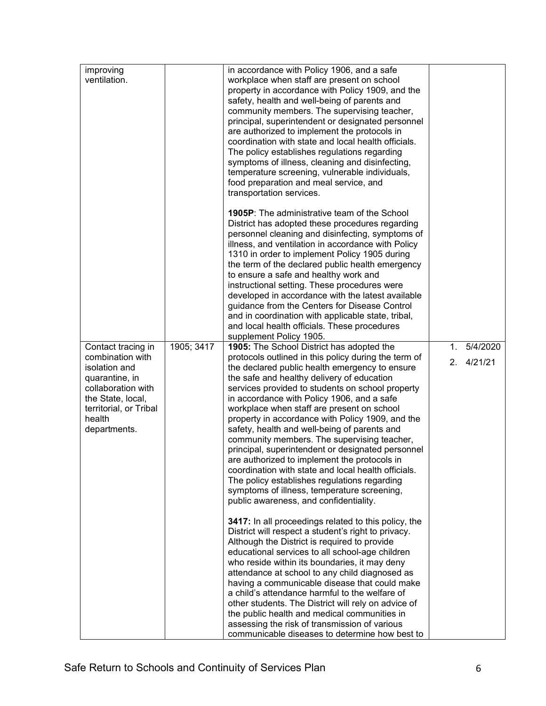|                                                                                                                                                                          |            | in accordance with Policy 1906, and a safe                                                                                                                                                                                                                                                                                                                                                                                                                                                                                                                                                                                                                                                                                                                                                                |                                             |
|--------------------------------------------------------------------------------------------------------------------------------------------------------------------------|------------|-----------------------------------------------------------------------------------------------------------------------------------------------------------------------------------------------------------------------------------------------------------------------------------------------------------------------------------------------------------------------------------------------------------------------------------------------------------------------------------------------------------------------------------------------------------------------------------------------------------------------------------------------------------------------------------------------------------------------------------------------------------------------------------------------------------|---------------------------------------------|
| improving<br>ventilation.                                                                                                                                                |            | workplace when staff are present on school<br>property in accordance with Policy 1909, and the<br>safety, health and well-being of parents and<br>community members. The supervising teacher,<br>principal, superintendent or designated personnel<br>are authorized to implement the protocols in<br>coordination with state and local health officials.<br>The policy establishes regulations regarding<br>symptoms of illness, cleaning and disinfecting,<br>temperature screening, vulnerable individuals,<br>food preparation and meal service, and<br>transportation services.                                                                                                                                                                                                                      |                                             |
|                                                                                                                                                                          |            | <b>1905P:</b> The administrative team of the School<br>District has adopted these procedures regarding<br>personnel cleaning and disinfecting, symptoms of<br>illness, and ventilation in accordance with Policy<br>1310 in order to implement Policy 1905 during<br>the term of the declared public health emergency<br>to ensure a safe and healthy work and<br>instructional setting. These procedures were<br>developed in accordance with the latest available<br>guidance from the Centers for Disease Control<br>and in coordination with applicable state, tribal,<br>and local health officials. These procedures<br>supplement Policy 1905.                                                                                                                                                     |                                             |
| Contact tracing in<br>combination with<br>isolation and<br>quarantine, in<br>collaboration with<br>the State, local,<br>territorial, or Tribal<br>health<br>departments. | 1905; 3417 | 1905: The School District has adopted the<br>protocols outlined in this policy during the term of<br>the declared public health emergency to ensure<br>the safe and healthy delivery of education<br>services provided to students on school property<br>in accordance with Policy 1906, and a safe<br>workplace when staff are present on school<br>property in accordance with Policy 1909, and the<br>safety, health and well-being of parents and<br>community members. The supervising teacher,<br>principal, superintendent or designated personnel<br>are authorized to implement the protocols in<br>coordination with state and local health officials.<br>The policy establishes regulations regarding<br>symptoms of illness, temperature screening,<br>public awareness, and confidentiality. | 5/4/2020<br>1.<br>4/21/21<br>2 <sub>1</sub> |
|                                                                                                                                                                          |            | 3417: In all proceedings related to this policy, the<br>District will respect a student's right to privacy.<br>Although the District is required to provide<br>educational services to all school-age children<br>who reside within its boundaries, it may deny<br>attendance at school to any child diagnosed as<br>having a communicable disease that could make<br>a child's attendance harmful to the welfare of<br>other students. The District will rely on advice of<br>the public health and medical communities in<br>assessing the risk of transmission of various<br>communicable diseases to determine how best to                                                                                                                                                                            |                                             |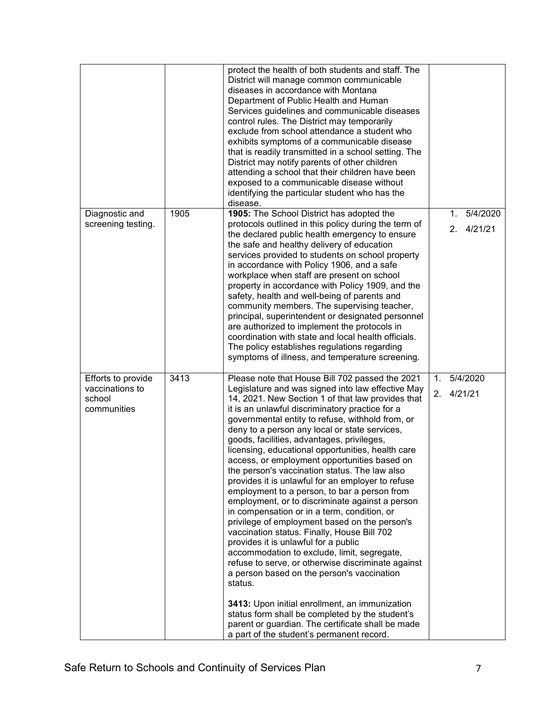| Diagnostic and<br>screening testing.                           | 1905 | protect the health of both students and staff. The<br>District will manage common communicable<br>diseases in accordance with Montana<br>Department of Public Health and Human<br>Services guidelines and communicable diseases<br>control rules. The District may temporarily<br>exclude from school attendance a student who<br>exhibits symptoms of a communicable disease<br>that is readily transmitted in a school setting. The<br>District may notify parents of other children<br>attending a school that their children have been<br>exposed to a communicable disease without<br>identifying the particular student who has the<br>disease.<br>1905: The School District has adopted the<br>protocols outlined in this policy during the term of<br>the declared public health emergency to ensure<br>the safe and healthy delivery of education<br>services provided to students on school property<br>in accordance with Policy 1906, and a safe<br>workplace when staff are present on school<br>property in accordance with Policy 1909, and the<br>safety, health and well-being of parents and<br>community members. The supervising teacher,<br>principal, superintendent or designated personnel<br>are authorized to implement the protocols in<br>coordination with state and local health officials.<br>The policy establishes regulations regarding<br>symptoms of illness, and temperature screening. |                      | 5/4/2020<br>1.<br>4/21/21<br>2 <sub>1</sub> |
|----------------------------------------------------------------|------|------------------------------------------------------------------------------------------------------------------------------------------------------------------------------------------------------------------------------------------------------------------------------------------------------------------------------------------------------------------------------------------------------------------------------------------------------------------------------------------------------------------------------------------------------------------------------------------------------------------------------------------------------------------------------------------------------------------------------------------------------------------------------------------------------------------------------------------------------------------------------------------------------------------------------------------------------------------------------------------------------------------------------------------------------------------------------------------------------------------------------------------------------------------------------------------------------------------------------------------------------------------------------------------------------------------------------------------------------------------------------------------------------------------------------|----------------------|---------------------------------------------|
| Efforts to provide<br>vaccinations to<br>school<br>communities | 3413 | Please note that House Bill 702 passed the 2021<br>Legislature and was signed into law effective May<br>14, 2021. New Section 1 of that law provides that<br>it is an unlawful discriminatory practice for a<br>governmental entity to refuse, withhold from, or<br>deny to a person any local or state services,<br>goods, facilities, advantages, privileges,<br>licensing, educational opportunities, health care<br>access, or employment opportunities based on<br>the person's vaccination status. The law also<br>provides it is unlawful for an employer to refuse<br>employment to a person, to bar a person from<br>employment, or to discriminate against a person<br>in compensation or in a term, condition, or<br>privilege of employment based on the person's<br>vaccination status. Finally, House Bill 702<br>provides it is unlawful for a public<br>accommodation to exclude, limit, segregate,<br>refuse to serve, or otherwise discriminate against<br>a person based on the person's vaccination<br>status.<br>3413: Upon initial enrollment, an immunization<br>status form shall be completed by the student's<br>parent or guardian. The certificate shall be made<br>a part of the student's permanent record.                                                                                                                                                                                    | 1 <sub>1</sub><br>2. | 5/4/2020<br>4/21/21                         |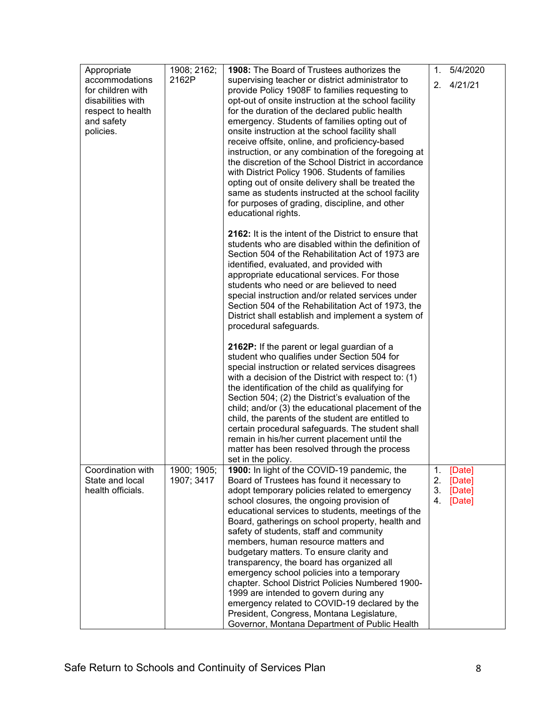| Appropriate                                                                                              | 1908; 2162;               | 1908: The Board of Trustees authorizes the                                                                                                                                                                                                                                                                                                                                                                                                                                                                                                                                                                                                                                                                                                                               | 1.                   | 5/4/2020                             |
|----------------------------------------------------------------------------------------------------------|---------------------------|--------------------------------------------------------------------------------------------------------------------------------------------------------------------------------------------------------------------------------------------------------------------------------------------------------------------------------------------------------------------------------------------------------------------------------------------------------------------------------------------------------------------------------------------------------------------------------------------------------------------------------------------------------------------------------------------------------------------------------------------------------------------------|----------------------|--------------------------------------|
| accommodations<br>for children with<br>disabilities with<br>respect to health<br>and safety<br>policies. | 2162P                     | supervising teacher or district administrator to<br>provide Policy 1908F to families requesting to<br>opt-out of onsite instruction at the school facility<br>for the duration of the declared public health<br>emergency. Students of families opting out of<br>onsite instruction at the school facility shall<br>receive offsite, online, and proficiency-based<br>instruction, or any combination of the foregoing at<br>the discretion of the School District in accordance<br>with District Policy 1906. Students of families<br>opting out of onsite delivery shall be treated the<br>same as students instructed at the school facility<br>for purposes of grading, discipline, and other<br>educational rights.                                                 |                      | 2.4/21/21                            |
|                                                                                                          |                           | 2162: It is the intent of the District to ensure that<br>students who are disabled within the definition of<br>Section 504 of the Rehabilitation Act of 1973 are<br>identified, evaluated, and provided with<br>appropriate educational services. For those<br>students who need or are believed to need<br>special instruction and/or related services under<br>Section 504 of the Rehabilitation Act of 1973, the<br>District shall establish and implement a system of<br>procedural safeguards.                                                                                                                                                                                                                                                                      |                      |                                      |
|                                                                                                          |                           | 2162P: If the parent or legal guardian of a<br>student who qualifies under Section 504 for<br>special instruction or related services disagrees<br>with a decision of the District with respect to: (1)<br>the identification of the child as qualifying for<br>Section 504; (2) the District's evaluation of the<br>child; and/or (3) the educational placement of the<br>child, the parents of the student are entitled to<br>certain procedural safeguards. The student shall<br>remain in his/her current placement until the<br>matter has been resolved through the process<br>set in the policy.                                                                                                                                                                  |                      |                                      |
| Coordination with<br>State and local<br>health officials.                                                | 1900; 1905;<br>1907; 3417 | 1900: In light of the COVID-19 pandemic, the<br>Board of Trustees has found it necessary to<br>adopt temporary policies related to emergency<br>school closures, the ongoing provision of<br>educational services to students, meetings of the<br>Board, gatherings on school property, health and<br>safety of students, staff and community<br>members, human resource matters and<br>budgetary matters. To ensure clarity and<br>transparency, the board has organized all<br>emergency school policies into a temporary<br>chapter. School District Policies Numbered 1900-<br>1999 are intended to govern during any<br>emergency related to COVID-19 declared by the<br>President, Congress, Montana Legislature,<br>Governor, Montana Department of Public Health | 1.<br>2.<br>3.<br>4. | [Date]<br>[Date]<br>[Date]<br>[Date] |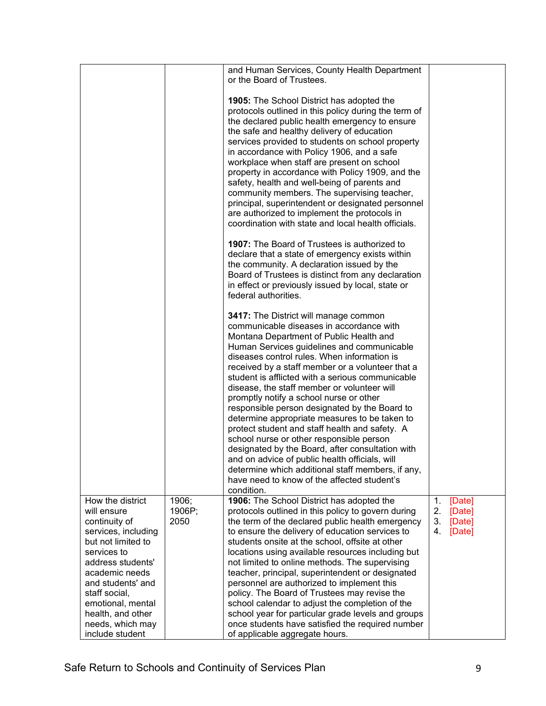|                                                                                                                                                                                                                                                                            |                         | and Human Services, County Health Department<br>or the Board of Trustees.                                                                                                                                                                                                                                                                                                                                                                                                                                                                                                                                                                                                                                                                                                                                                                           |                                                              |
|----------------------------------------------------------------------------------------------------------------------------------------------------------------------------------------------------------------------------------------------------------------------------|-------------------------|-----------------------------------------------------------------------------------------------------------------------------------------------------------------------------------------------------------------------------------------------------------------------------------------------------------------------------------------------------------------------------------------------------------------------------------------------------------------------------------------------------------------------------------------------------------------------------------------------------------------------------------------------------------------------------------------------------------------------------------------------------------------------------------------------------------------------------------------------------|--------------------------------------------------------------|
|                                                                                                                                                                                                                                                                            |                         | <b>1905:</b> The School District has adopted the<br>protocols outlined in this policy during the term of<br>the declared public health emergency to ensure<br>the safe and healthy delivery of education<br>services provided to students on school property<br>in accordance with Policy 1906, and a safe<br>workplace when staff are present on school<br>property in accordance with Policy 1909, and the<br>safety, health and well-being of parents and<br>community members. The supervising teacher,<br>principal, superintendent or designated personnel<br>are authorized to implement the protocols in<br>coordination with state and local health officials.                                                                                                                                                                             |                                                              |
|                                                                                                                                                                                                                                                                            |                         | 1907: The Board of Trustees is authorized to<br>declare that a state of emergency exists within<br>the community. A declaration issued by the<br>Board of Trustees is distinct from any declaration<br>in effect or previously issued by local, state or<br>federal authorities.                                                                                                                                                                                                                                                                                                                                                                                                                                                                                                                                                                    |                                                              |
|                                                                                                                                                                                                                                                                            |                         | 3417: The District will manage common<br>communicable diseases in accordance with<br>Montana Department of Public Health and<br>Human Services guidelines and communicable<br>diseases control rules. When information is<br>received by a staff member or a volunteer that a<br>student is afflicted with a serious communicable<br>disease, the staff member or volunteer will<br>promptly notify a school nurse or other<br>responsible person designated by the Board to<br>determine appropriate measures to be taken to<br>protect student and staff health and safety. A<br>school nurse or other responsible person<br>designated by the Board, after consultation with<br>and on advice of public health officials, will<br>determine which additional staff members, if any,<br>have need to know of the affected student's<br>condition. |                                                              |
| How the district<br>will ensure<br>continuity of<br>services, including<br>but not limited to<br>services to<br>address students'<br>academic needs<br>and students' and<br>staff social,<br>emotional, mental<br>health, and other<br>needs, which may<br>include student | 1906;<br>1906P;<br>2050 | 1906: The School District has adopted the<br>protocols outlined in this policy to govern during<br>the term of the declared public health emergency<br>to ensure the delivery of education services to<br>students onsite at the school, offsite at other<br>locations using available resources including but<br>not limited to online methods. The supervising<br>teacher, principal, superintendent or designated<br>personnel are authorized to implement this<br>policy. The Board of Trustees may revise the<br>school calendar to adjust the completion of the<br>school year for particular grade levels and groups<br>once students have satisfied the required number<br>of applicable aggregate hours.                                                                                                                                   | 1.<br>[Date]<br>2.<br>[Date]<br>3.<br>[Date]<br>4.<br>[Date] |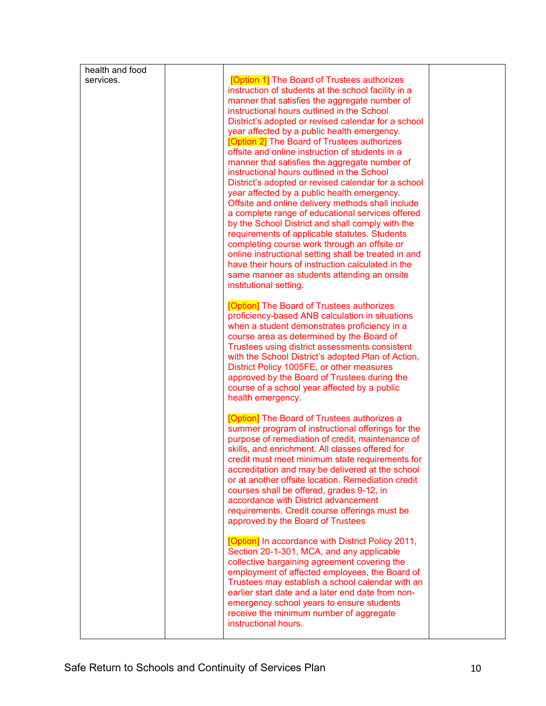| health and food<br>services. | <b>[Option 1]</b> The Board of Trustees authorizes<br>instruction of students at the school facility in a<br>manner that satisfies the aggregate number of<br>instructional hours outlined in the School                                                                                                                                                                                                                                                                                                                                                                                                                                                                                                                                                                                                                                                      |  |
|------------------------------|---------------------------------------------------------------------------------------------------------------------------------------------------------------------------------------------------------------------------------------------------------------------------------------------------------------------------------------------------------------------------------------------------------------------------------------------------------------------------------------------------------------------------------------------------------------------------------------------------------------------------------------------------------------------------------------------------------------------------------------------------------------------------------------------------------------------------------------------------------------|--|
|                              | District's adopted or revised calendar for a school<br>year affected by a public health emergency.<br>[Option 2] The Board of Trustees authorizes<br>offsite and online instruction of students in a<br>manner that satisfies the aggregate number of<br>instructional hours outlined in the School<br>District's adopted or revised calendar for a school<br>year affected by a public health emergency.<br>Offsite and online delivery methods shall include<br>a complete range of educational services offered<br>by the School District and shall comply with the<br>requirements of applicable statutes. Students<br>completing course work through an offsite or<br>online instructional setting shall be treated in and<br>have their hours of instruction calculated in the<br>same manner as students attending an onsite<br>institutional setting. |  |
|                              | [Option] The Board of Trustees authorizes<br>proficiency-based ANB calculation in situations<br>when a student demonstrates proficiency in a<br>course area as determined by the Board of<br>Trustees using district assessments consistent<br>with the School District's adopted Plan of Action,<br>District Policy 1005FE, or other measures<br>approved by the Board of Trustees during the<br>course of a school year affected by a public<br>health emergency.                                                                                                                                                                                                                                                                                                                                                                                           |  |
|                              | [Option] The Board of Trustees authorizes a<br>summer program of instructional offerings for the<br>purpose of remediation of credit, maintenance of<br>skills, and enrichment. All classes offered for<br>credit must meet minimum state requirements for<br>accreditation and may be delivered at the school<br>or at another offsite location. Remediation credit<br>courses shall be offered, grades 9-12, in<br>accordance with District advancement<br>requirements. Credit course offerings must be<br>approved by the Board of Trustees                                                                                                                                                                                                                                                                                                               |  |
|                              | [Option] In accordance with District Policy 2011,<br>Section 20-1-301, MCA, and any applicable<br>collective bargaining agreement covering the<br>employment of affected employees, the Board of<br>Trustees may establish a school calendar with an<br>earlier start date and a later end date from non-<br>emergency school years to ensure students<br>receive the minimum number of aggregate<br>instructional hours.                                                                                                                                                                                                                                                                                                                                                                                                                                     |  |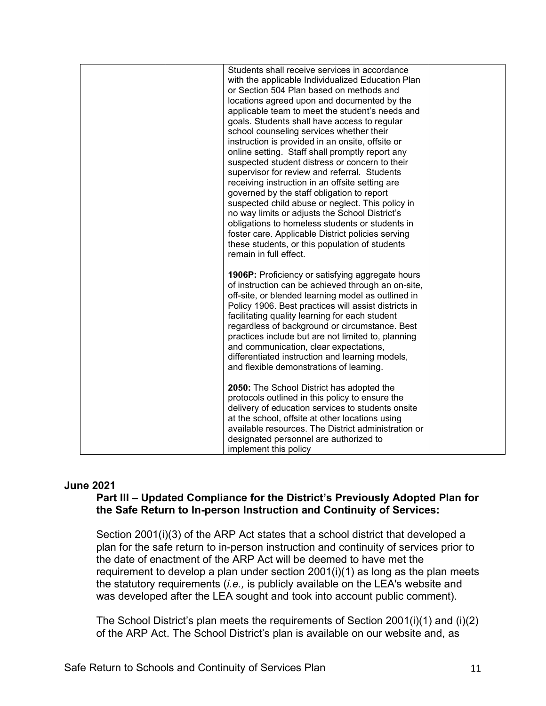| Students shall receive services in accordance<br>with the applicable Individualized Education Plan<br>or Section 504 Plan based on methods and<br>locations agreed upon and documented by the<br>applicable team to meet the student's needs and<br>goals. Students shall have access to regular<br>school counseling services whether their<br>instruction is provided in an onsite, offsite or<br>online setting. Staff shall promptly report any<br>suspected student distress or concern to their<br>supervisor for review and referral. Students |  |
|-------------------------------------------------------------------------------------------------------------------------------------------------------------------------------------------------------------------------------------------------------------------------------------------------------------------------------------------------------------------------------------------------------------------------------------------------------------------------------------------------------------------------------------------------------|--|
| receiving instruction in an offsite setting are<br>governed by the staff obligation to report<br>suspected child abuse or neglect. This policy in<br>no way limits or adjusts the School District's<br>obligations to homeless students or students in<br>foster care. Applicable District policies serving<br>these students, or this population of students<br>remain in full effect.                                                                                                                                                               |  |
| <b>1906P:</b> Proficiency or satisfying aggregate hours<br>of instruction can be achieved through an on-site,<br>off-site, or blended learning model as outlined in<br>Policy 1906. Best practices will assist districts in<br>facilitating quality learning for each student<br>regardless of background or circumstance. Best<br>practices include but are not limited to, planning<br>and communication, clear expectations,<br>differentiated instruction and learning models,<br>and flexible demonstrations of learning.                        |  |
| 2050: The School District has adopted the<br>protocols outlined in this policy to ensure the<br>delivery of education services to students onsite<br>at the school, offsite at other locations using<br>available resources. The District administration or<br>designated personnel are authorized to<br>implement this policy                                                                                                                                                                                                                        |  |

### **June 2021**

# **Part III – Updated Compliance for the District's Previously Adopted Plan for the Safe Return to In-person Instruction and Continuity of Services:**

Section 2001(i)(3) of the ARP Act states that a school district that developed a plan for the safe return to in-person instruction and continuity of services prior to the date of enactment of the ARP Act will be deemed to have met the requirement to develop a plan under section 2001(i)(1) as long as the plan meets the statutory requirements (*i.e.,* is publicly available on the LEA's website and was developed after the LEA sought and took into account public comment).

The School District's plan meets the requirements of Section 2001(i)(1) and (i)(2) of the ARP Act. The School District's plan is available on our website and, as